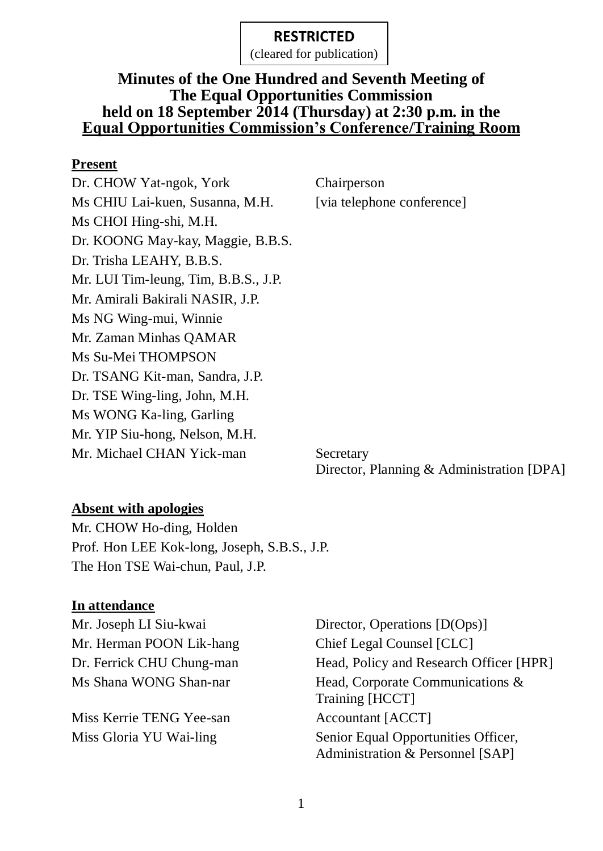(cleared for publication)

### **Minutes of the One Hundred and Seventh Meeting of The Equal Opportunities Commission held on 18 September 2014 (Thursday) at 2:30 p.m. in the Equal Opportunities Commission's Conference/Training Room**

#### **Present**

Dr. CHOW Yat-ngok, York Chairperson Ms CHIU Lai-kuen, Susanna, M.H. [via telephone conference] Ms CHOI Hing-shi, M.H. Dr. KOONG May-kay, Maggie, B.B.S. Dr. Trisha LEAHY, B.B.S. Mr. LUI Tim-leung, Tim, B.B.S., J.P. Mr. Amirali Bakirali NASIR, J.P. Ms NG Wing-mui, Winnie Mr. Zaman Minhas QAMAR Ms Su-Mei THOMPSON Dr. TSANG Kit-man, Sandra, J.P. Dr. TSE Wing-ling, John, M.H. Ms WONG Ka-ling, Garling Mr. YIP Siu-hong, Nelson, M.H. Mr. Michael CHAN Yick-man Secretary

Director, Planning & Administration [DPA]

#### **Absent with apologies**

Mr. CHOW Ho-ding, Holden Prof. Hon LEE Kok-long, Joseph, S.B.S., J.P. The Hon TSE Wai-chun, Paul, J.P.

#### **In attendance**

Mr. Herman POON Lik-hang Chief Legal Counsel [CLC]

Miss Kerrie TENG Yee-san Accountant [ACCT]

Mr. Joseph LI Siu-kwai Director, Operations [D(Ops)] Dr. Ferrick CHU Chung-man Head, Policy and Research Officer [HPR] Ms Shana WONG Shan-nar Head, Corporate Communications & Training [HCCT] Miss Gloria YU Wai-ling Senior Equal Opportunities Officer, Administration & Personnel [SAP]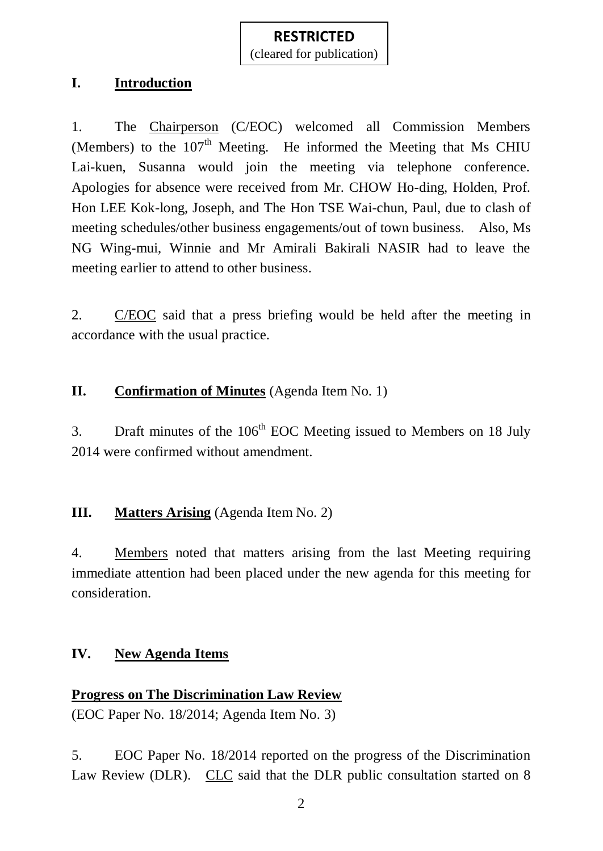### **I. Introduction**

1. The Chairperson (C/EOC) welcomed all Commission Members (Members) to the  $107<sup>th</sup>$  Meeting. He informed the Meeting that Ms CHIU Lai-kuen, Susanna would join the meeting via telephone conference. Apologies for absence were received from Mr. CHOW Ho-ding, Holden, Prof. Hon LEE Kok-long, Joseph, and The Hon TSE Wai-chun, Paul, due to clash of meeting schedules/other business engagements/out of town business. Also, Ms NG Wing-mui, Winnie and Mr Amirali Bakirali NASIR had to leave the meeting earlier to attend to other business.

2. C/EOC said that a press briefing would be held after the meeting in accordance with the usual practice.

### **II. Confirmation of Minutes** (Agenda Item No. 1)

3. Draft minutes of the  $106<sup>th</sup>$  EOC Meeting issued to Members on 18 July 2014 were confirmed without amendment.

### **III. Matters Arising** (Agenda Item No. 2)

4. Members noted that matters arising from the last Meeting requiring immediate attention had been placed under the new agenda for this meeting for consideration.

### **IV. New Agenda Items**

### **Progress on The Discrimination Law Review**

(EOC Paper No. 18/2014; Agenda Item No. 3)

5. EOC Paper No. 18/2014 reported on the progress of the Discrimination Law Review (DLR). CLC said that the DLR public consultation started on 8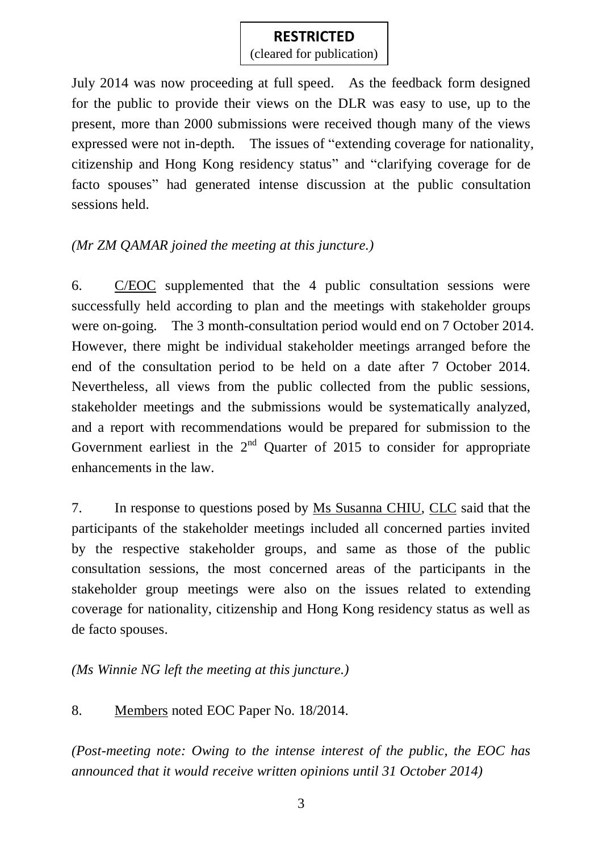(cleared for publication)

July 2014 was now proceeding at full speed. As the feedback form designed for the public to provide their views on the DLR was easy to use, up to the present, more than 2000 submissions were received though many of the views expressed were not in-depth. The issues of "extending coverage for nationality, citizenship and Hong Kong residency status" and "clarifying coverage for de facto spouses" had generated intense discussion at the public consultation sessions held.

### *(Mr ZM QAMAR joined the meeting at this juncture.)*

6. C/EOC supplemented that the 4 public consultation sessions were successfully held according to plan and the meetings with stakeholder groups were on-going. The 3 month-consultation period would end on 7 October 2014. However, there might be individual stakeholder meetings arranged before the end of the consultation period to be held on a date after 7 October 2014. Nevertheless, all views from the public collected from the public sessions, stakeholder meetings and the submissions would be systematically analyzed, and a report with recommendations would be prepared for submission to the Government earliest in the  $2<sup>nd</sup>$  Quarter of 2015 to consider for appropriate enhancements in the law.

7. In response to questions posed by Ms Susanna CHIU, CLC said that the participants of the stakeholder meetings included all concerned parties invited by the respective stakeholder groups, and same as those of the public consultation sessions, the most concerned areas of the participants in the stakeholder group meetings were also on the issues related to extending coverage for nationality, citizenship and Hong Kong residency status as well as de facto spouses.

*(Ms Winnie NG left the meeting at this juncture.)*

### 8. Members noted EOC Paper No. 18/2014.

*(Post-meeting note: Owing to the intense interest of the public, the EOC has announced that it would receive written opinions until 31 October 2014)*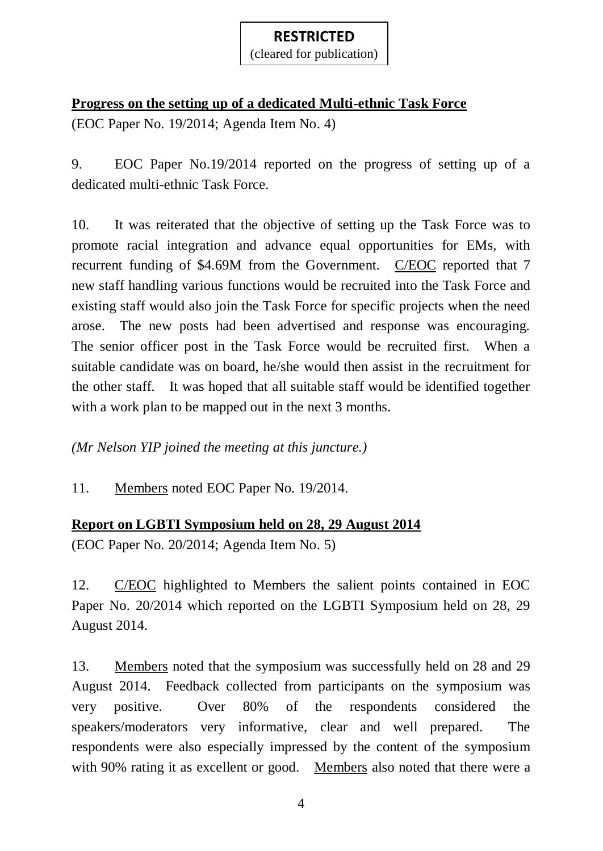(cleared for publication)

# **Progress on the setting up of a dedicated Multi-ethnic Task Force**

(EOC Paper No. 19/2014; Agenda Item No. 4)

9. EOC Paper No.19/2014 reported on the progress of setting up of a dedicated multi-ethnic Task Force.

10. It was reiterated that the objective of setting up the Task Force was to promote racial integration and advance equal opportunities for EMs, with recurrent funding of \$4.69M from the Government. C/EOC reported that 7 new staff handling various functions would be recruited into the Task Force and existing staff would also join the Task Force for specific projects when the need arose. The new posts had been advertised and response was encouraging. The senior officer post in the Task Force would be recruited first. When a suitable candidate was on board, he/she would then assist in the recruitment for the other staff. It was hoped that all suitable staff would be identified together with a work plan to be mapped out in the next 3 months.

*(Mr Nelson YIP joined the meeting at this juncture.)*

11. Members noted EOC Paper No. 19/2014.

## **Report on LGBTI Symposium held on 28, 29 August 2014**

(EOC Paper No. 20/2014; Agenda Item No. 5)

12. C/EOC highlighted to Members the salient points contained in EOC Paper No. 20/2014 which reported on the LGBTI Symposium held on 28, 29 August 2014.

13. Members noted that the symposium was successfully held on 28 and 29 August 2014. Feedback collected from participants on the symposium was very positive. Over 80% of the respondents considered the speakers/moderators very informative, clear and well prepared. The respondents were also especially impressed by the content of the symposium with 90% rating it as excellent or good. Members also noted that there were a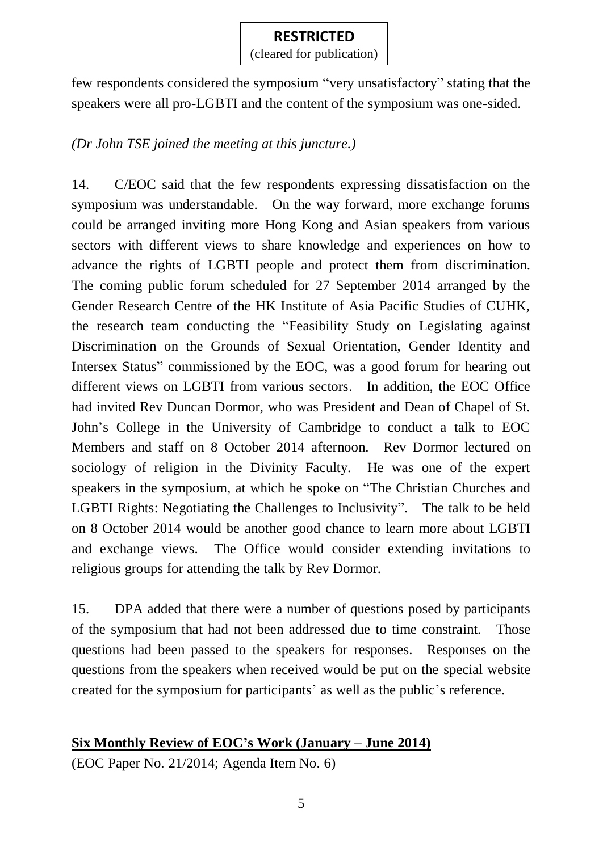(cleared for publication)

few respondents considered the symposium "very unsatisfactory" stating that the speakers were all pro-LGBTI and the content of the symposium was one-sided.

### *(Dr John TSE joined the meeting at this juncture.)*

14. C/EOC said that the few respondents expressing dissatisfaction on the symposium was understandable. On the way forward, more exchange forums could be arranged inviting more Hong Kong and Asian speakers from various sectors with different views to share knowledge and experiences on how to advance the rights of LGBTI people and protect them from discrimination. The coming public forum scheduled for 27 September 2014 arranged by the Gender Research Centre of the HK Institute of Asia Pacific Studies of CUHK, the research team conducting the "Feasibility Study on Legislating against Discrimination on the Grounds of Sexual Orientation, Gender Identity and Intersex Status" commissioned by the EOC, was a good forum for hearing out different views on LGBTI from various sectors. In addition, the EOC Office had invited Rev Duncan Dormor, who was President and Dean of Chapel of St. John's College in the University of Cambridge to conduct a talk to EOC Members and staff on 8 October 2014 afternoon. Rev Dormor lectured on sociology of religion in the Divinity Faculty. He was one of the expert speakers in the symposium, at which he spoke on "The Christian Churches and LGBTI Rights: Negotiating the Challenges to Inclusivity". The talk to be held on 8 October 2014 would be another good chance to learn more about LGBTI and exchange views. The Office would consider extending invitations to religious groups for attending the talk by Rev Dormor.

15. DPA added that there were a number of questions posed by participants of the symposium that had not been addressed due to time constraint. Those questions had been passed to the speakers for responses. Responses on the questions from the speakers when received would be put on the special website created for the symposium for participants' as well as the public's reference.

# **Six Monthly Review of EOC's Work (January – June 2014)**

(EOC Paper No. 21/2014; Agenda Item No. 6)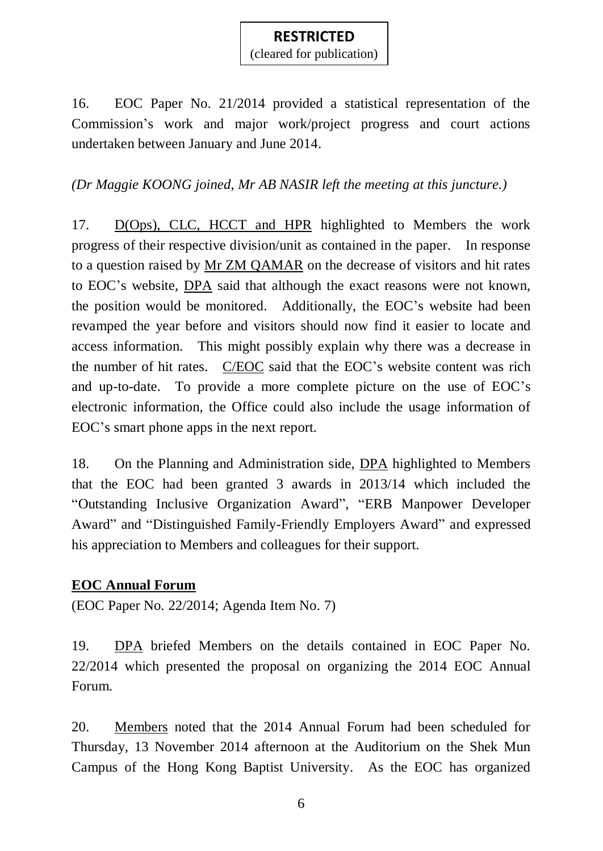(cleared for publication)

16. EOC Paper No. 21/2014 provided a statistical representation of the Commission's work and major work/project progress and court actions undertaken between January and June 2014.

### *(Dr Maggie KOONG joined, Mr AB NASIR left the meeting at this juncture.)*

17. D(Ops), CLC, HCCT and HPR highlighted to Members the work progress of their respective division/unit as contained in the paper. In response to a question raised by Mr ZM QAMAR on the decrease of visitors and hit rates to EOC's website, DPA said that although the exact reasons were not known, the position would be monitored. Additionally, the EOC's website had been revamped the year before and visitors should now find it easier to locate and access information. This might possibly explain why there was a decrease in the number of hit rates. C/EOC said that the EOC's website content was rich and up-to-date. To provide a more complete picture on the use of EOC's electronic information, the Office could also include the usage information of EOC's smart phone apps in the next report.

18. On the Planning and Administration side, DPA highlighted to Members that the EOC had been granted 3 awards in 2013/14 which included the "Outstanding Inclusive Organization Award", "ERB Manpower Developer Award" and "Distinguished Family-Friendly Employers Award" and expressed his appreciation to Members and colleagues for their support.

#### **EOC Annual Forum**

(EOC Paper No. 22/2014; Agenda Item No. 7)

19. DPA briefed Members on the details contained in EOC Paper No. 22/2014 which presented the proposal on organizing the 2014 EOC Annual Forum.

20. Members noted that the 2014 Annual Forum had been scheduled for Thursday, 13 November 2014 afternoon at the Auditorium on the Shek Mun Campus of the Hong Kong Baptist University. As the EOC has organized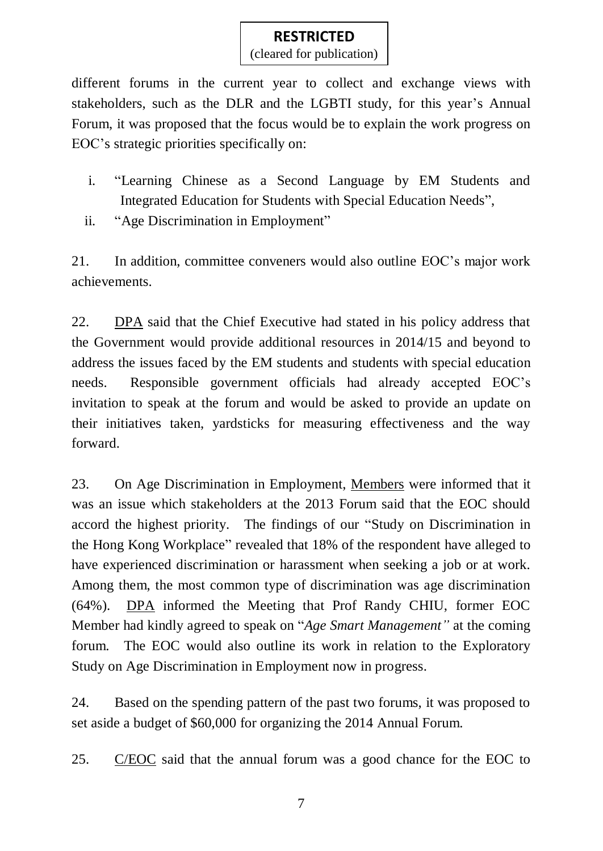(cleared for publication)

different forums in the current year to collect and exchange views with stakeholders, such as the DLR and the LGBTI study, for this year's Annual Forum, it was proposed that the focus would be to explain the work progress on EOC's strategic priorities specifically on:

- i. "Learning Chinese as a Second Language by EM Students and Integrated Education for Students with Special Education Needs",
- ii. "Age Discrimination in Employment"

21. In addition, committee conveners would also outline EOC's major work achievements.

22. DPA said that the Chief Executive had stated in his policy address that the Government would provide additional resources in 2014/15 and beyond to address the issues faced by the EM students and students with special education needs. Responsible government officials had already accepted EOC's invitation to speak at the forum and would be asked to provide an update on their initiatives taken, yardsticks for measuring effectiveness and the way forward.

23. On Age Discrimination in Employment, Members were informed that it was an issue which stakeholders at the 2013 Forum said that the EOC should accord the highest priority. The findings of our "Study on Discrimination in the Hong Kong Workplace" revealed that 18% of the respondent have alleged to have experienced discrimination or harassment when seeking a job or at work. Among them, the most common type of discrimination was age discrimination (64%). DPA informed the Meeting that Prof Randy CHIU, former EOC Member had kindly agreed to speak on "*Age Smart Management"* at the coming forum. The EOC would also outline its work in relation to the Exploratory Study on Age Discrimination in Employment now in progress.

24. Based on the spending pattern of the past two forums, it was proposed to set aside a budget of \$60,000 for organizing the 2014 Annual Forum.

25. C/EOC said that the annual forum was a good chance for the EOC to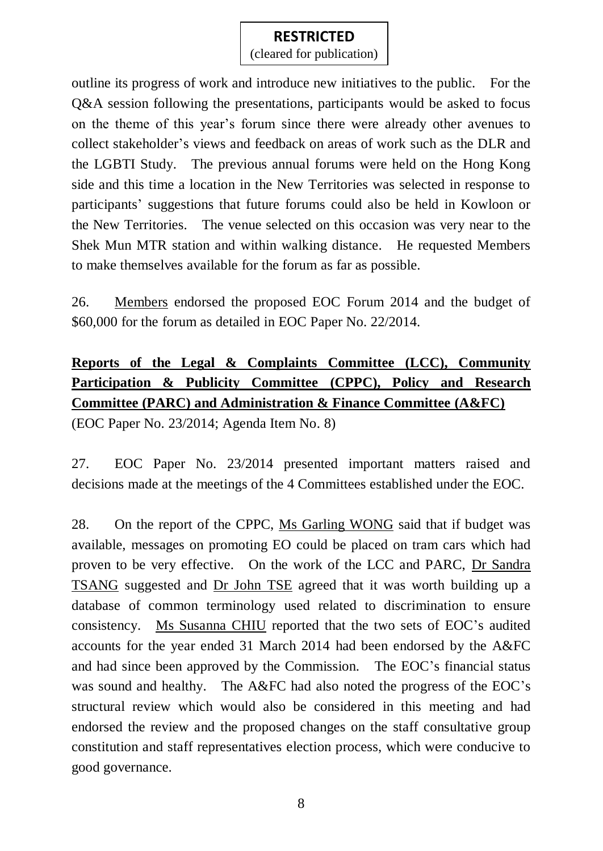(cleared for publication)

outline its progress of work and introduce new initiatives to the public. For the Q&A session following the presentations, participants would be asked to focus on the theme of this year's forum since there were already other avenues to collect stakeholder's views and feedback on areas of work such as the DLR and the LGBTI Study. The previous annual forums were held on the Hong Kong side and this time a location in the New Territories was selected in response to participants' suggestions that future forums could also be held in Kowloon or the New Territories. The venue selected on this occasion was very near to the Shek Mun MTR station and within walking distance. He requested Members to make themselves available for the forum as far as possible.

26. Members endorsed the proposed EOC Forum 2014 and the budget of \$60,000 for the forum as detailed in EOC Paper No. 22/2014.

# **Reports of the Legal & Complaints Committee (LCC), Community Participation & Publicity Committee (CPPC), Policy and Research Committee (PARC) and Administration & Finance Committee (A&FC)**

(EOC Paper No. 23/2014; Agenda Item No. 8)

27. EOC Paper No. 23/2014 presented important matters raised and decisions made at the meetings of the 4 Committees established under the EOC.

28. On the report of the CPPC, Ms Garling WONG said that if budget was available, messages on promoting EO could be placed on tram cars which had proven to be very effective. On the work of the LCC and PARC, Dr Sandra TSANG suggested and Dr John TSE agreed that it was worth building up a database of common terminology used related to discrimination to ensure consistency. Ms Susanna CHIU reported that the two sets of EOC's audited accounts for the year ended 31 March 2014 had been endorsed by the A&FC and had since been approved by the Commission. The EOC's financial status was sound and healthy. The A&FC had also noted the progress of the EOC's structural review which would also be considered in this meeting and had endorsed the review and the proposed changes on the staff consultative group constitution and staff representatives election process, which were conducive to good governance.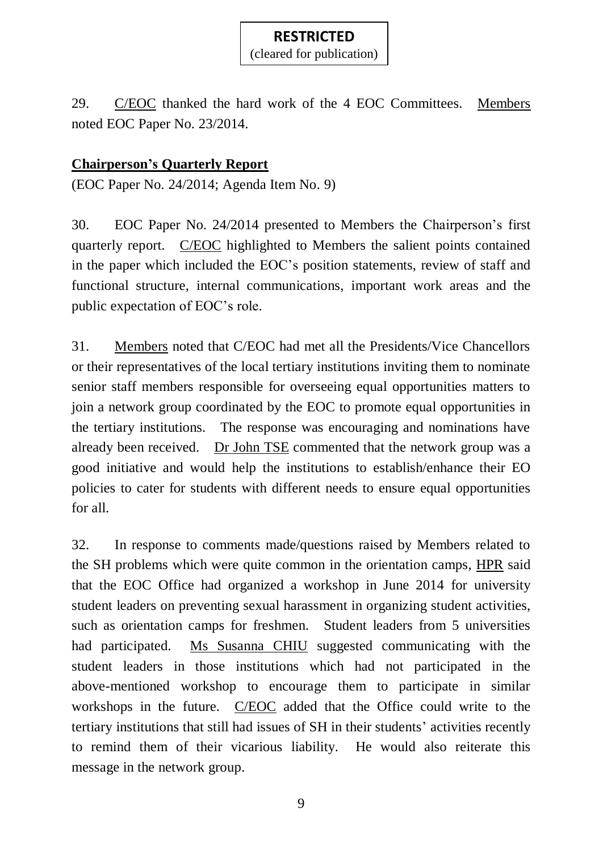29. C/EOC thanked the hard work of the 4 EOC Committees. Members noted EOC Paper No. 23/2014.

### **Chairperson's Quarterly Report**

(EOC Paper No. 24/2014; Agenda Item No. 9)

30. EOC Paper No. 24/2014 presented to Members the Chairperson's first quarterly report. C/EOC highlighted to Members the salient points contained in the paper which included the EOC's position statements, review of staff and functional structure, internal communications, important work areas and the public expectation of EOC's role.

31. Members noted that C/EOC had met all the Presidents/Vice Chancellors or their representatives of the local tertiary institutions inviting them to nominate senior staff members responsible for overseeing equal opportunities matters to join a network group coordinated by the EOC to promote equal opportunities in the tertiary institutions. The response was encouraging and nominations have already been received. Dr John TSE commented that the network group was a good initiative and would help the institutions to establish/enhance their EO policies to cater for students with different needs to ensure equal opportunities for all.

32. In response to comments made/questions raised by Members related to the SH problems which were quite common in the orientation camps, HPR said that the EOC Office had organized a workshop in June 2014 for university student leaders on preventing sexual harassment in organizing student activities, such as orientation camps for freshmen. Student leaders from 5 universities had participated. Ms Susanna CHIU suggested communicating with the student leaders in those institutions which had not participated in the above-mentioned workshop to encourage them to participate in similar workshops in the future. C/EOC added that the Office could write to the tertiary institutions that still had issues of SH in their students' activities recently to remind them of their vicarious liability. He would also reiterate this message in the network group.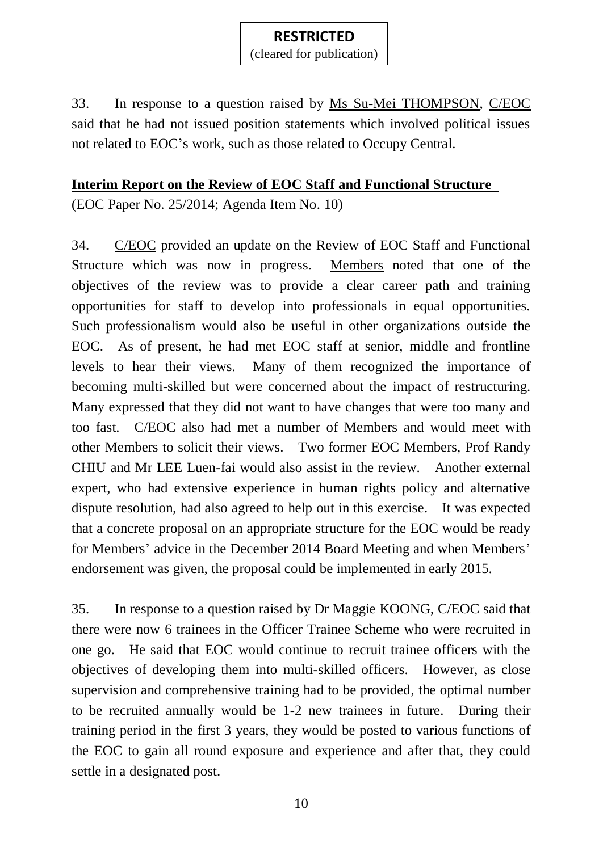33. In response to a question raised by Ms Su-Mei THOMPSON, C/EOC said that he had not issued position statements which involved political issues not related to EOC's work, such as those related to Occupy Central.

#### **Interim Report on the Review of EOC Staff and Functional Structure**

(EOC Paper No. 25/2014; Agenda Item No. 10)

34. C/EOC provided an update on the Review of EOC Staff and Functional Structure which was now in progress. Members noted that one of the objectives of the review was to provide a clear career path and training opportunities for staff to develop into professionals in equal opportunities. Such professionalism would also be useful in other organizations outside the EOC. As of present, he had met EOC staff at senior, middle and frontline levels to hear their views. Many of them recognized the importance of becoming multi-skilled but were concerned about the impact of restructuring. Many expressed that they did not want to have changes that were too many and too fast. C/EOC also had met a number of Members and would meet with other Members to solicit their views. Two former EOC Members, Prof Randy CHIU and Mr LEE Luen-fai would also assist in the review. Another external expert, who had extensive experience in human rights policy and alternative dispute resolution, had also agreed to help out in this exercise. It was expected that a concrete proposal on an appropriate structure for the EOC would be ready for Members' advice in the December 2014 Board Meeting and when Members' endorsement was given, the proposal could be implemented in early 2015.

35. In response to a question raised by Dr Maggie KOONG, C/EOC said that there were now 6 trainees in the Officer Trainee Scheme who were recruited in one go. He said that EOC would continue to recruit trainee officers with the objectives of developing them into multi-skilled officers. However, as close supervision and comprehensive training had to be provided, the optimal number to be recruited annually would be 1-2 new trainees in future. During their training period in the first 3 years, they would be posted to various functions of the EOC to gain all round exposure and experience and after that, they could settle in a designated post.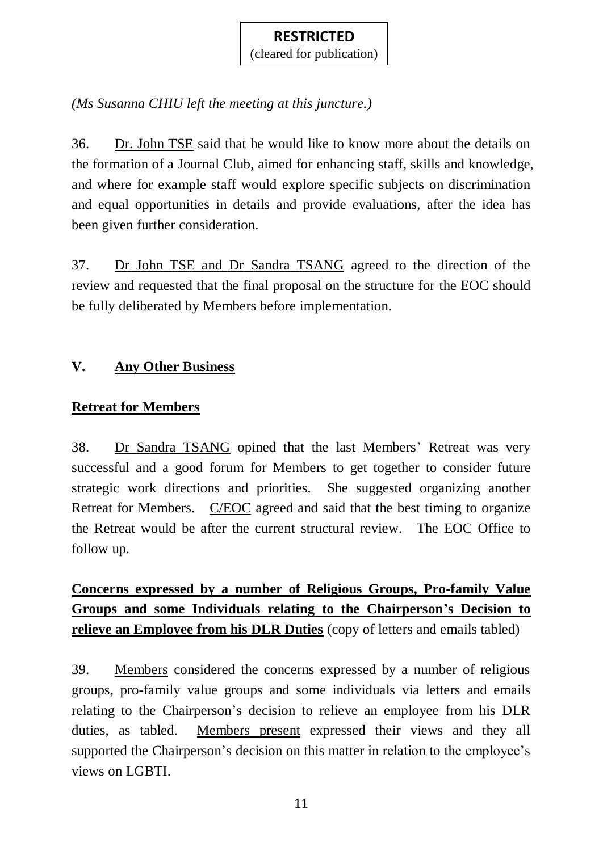*(Ms Susanna CHIU left the meeting at this juncture.)*

36. Dr. John TSE said that he would like to know more about the details on the formation of a Journal Club, aimed for enhancing staff, skills and knowledge, and where for example staff would explore specific subjects on discrimination and equal opportunities in details and provide evaluations, after the idea has been given further consideration.

37. Dr John TSE and Dr Sandra TSANG agreed to the direction of the review and requested that the final proposal on the structure for the EOC should be fully deliberated by Members before implementation.

### **V. Any Other Business**

### **Retreat for Members**

38. Dr Sandra TSANG opined that the last Members' Retreat was very successful and a good forum for Members to get together to consider future strategic work directions and priorities. She suggested organizing another Retreat for Members. C/EOC agreed and said that the best timing to organize the Retreat would be after the current structural review. The EOC Office to follow up.

**Concerns expressed by a number of Religious Groups, Pro-family Value Groups and some Individuals relating to the Chairperson's Decision to relieve an Employee from his DLR Duties** (copy of letters and emails tabled)

39. Members considered the concerns expressed by a number of religious groups, pro-family value groups and some individuals via letters and emails relating to the Chairperson's decision to relieve an employee from his DLR duties, as tabled. Members present expressed their views and they all supported the Chairperson's decision on this matter in relation to the employee's views on LGBTI.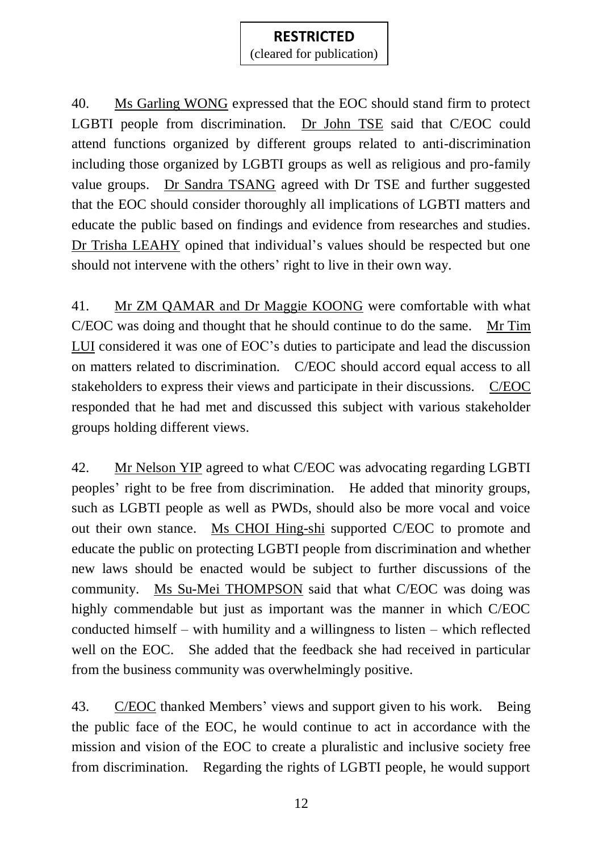(cleared for publication)

40. Ms Garling WONG expressed that the EOC should stand firm to protect LGBTI people from discrimination. Dr John TSE said that C/EOC could attend functions organized by different groups related to anti-discrimination including those organized by LGBTI groups as well as religious and pro-family value groups. Dr Sandra TSANG agreed with Dr TSE and further suggested that the EOC should consider thoroughly all implications of LGBTI matters and educate the public based on findings and evidence from researches and studies. Dr Trisha LEAHY opined that individual's values should be respected but one should not intervene with the others' right to live in their own way.

41. Mr ZM QAMAR and Dr Maggie KOONG were comfortable with what C/EOC was doing and thought that he should continue to do the same. Mr Tim LUI considered it was one of EOC's duties to participate and lead the discussion on matters related to discrimination. C/EOC should accord equal access to all stakeholders to express their views and participate in their discussions. C/EOC responded that he had met and discussed this subject with various stakeholder groups holding different views.

42. Mr Nelson YIP agreed to what C/EOC was advocating regarding LGBTI peoples' right to be free from discrimination. He added that minority groups, such as LGBTI people as well as PWDs, should also be more vocal and voice out their own stance. Ms CHOI Hing-shi supported C/EOC to promote and educate the public on protecting LGBTI people from discrimination and whether new laws should be enacted would be subject to further discussions of the community. Ms Su-Mei THOMPSON said that what C/EOC was doing was highly commendable but just as important was the manner in which C/EOC conducted himself – with humility and a willingness to listen – which reflected well on the EOC. She added that the feedback she had received in particular from the business community was overwhelmingly positive.

43. C/EOC thanked Members' views and support given to his work. Being the public face of the EOC, he would continue to act in accordance with the mission and vision of the EOC to create a pluralistic and inclusive society free from discrimination. Regarding the rights of LGBTI people, he would support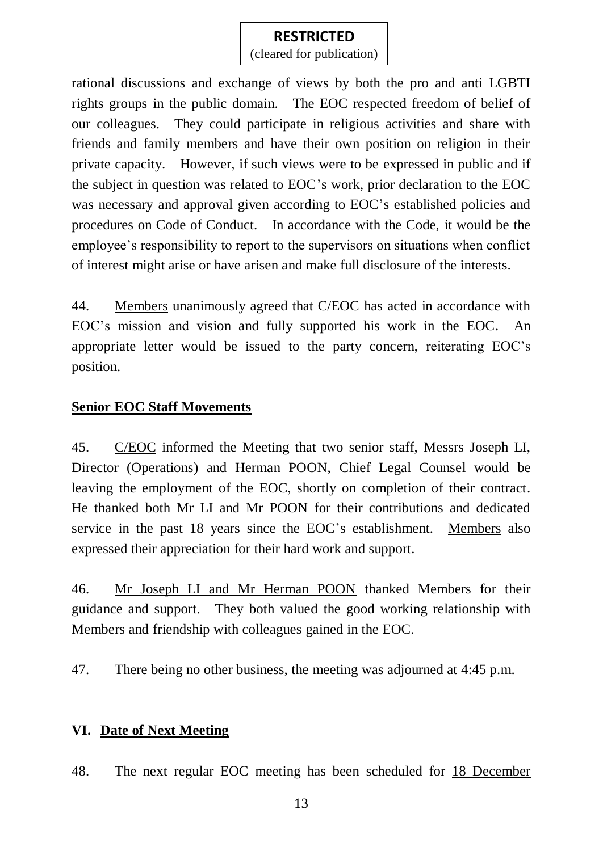### **RESTRICTED** (cleared for publication)

rational discussions and exchange of views by both the pro and anti LGBTI rights groups in the public domain. The EOC respected freedom of belief of our colleagues. They could participate in religious activities and share with friends and family members and have their own position on religion in their private capacity. However, if such views were to be expressed in public and if the subject in question was related to EOC's work, prior declaration to the EOC was necessary and approval given according to EOC's established policies and procedures on Code of Conduct. In accordance with the Code, it would be the employee's responsibility to report to the supervisors on situations when conflict of interest might arise or have arisen and make full disclosure of the interests.

44. Members unanimously agreed that C/EOC has acted in accordance with EOC's mission and vision and fully supported his work in the EOC. An appropriate letter would be issued to the party concern, reiterating EOC's position.

### **Senior EOC Staff Movements**

45. C/EOC informed the Meeting that two senior staff, Messrs Joseph LI, Director (Operations) and Herman POON, Chief Legal Counsel would be leaving the employment of the EOC, shortly on completion of their contract. He thanked both Mr LI and Mr POON for their contributions and dedicated service in the past 18 years since the EOC's establishment. Members also expressed their appreciation for their hard work and support.

46. Mr Joseph LI and Mr Herman POON thanked Members for their guidance and support. They both valued the good working relationship with Members and friendship with colleagues gained in the EOC.

47. There being no other business, the meeting was adjourned at 4:45 p.m.

### **VI. Date of Next Meeting**

48. The next regular EOC meeting has been scheduled for 18 December